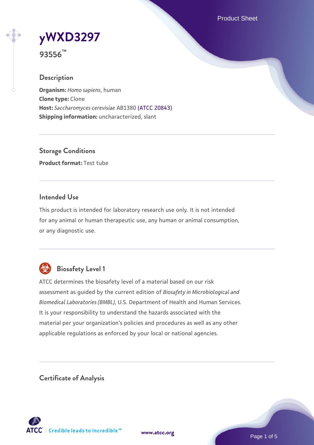Product Sheet



**93556™**

## **Description**

**Organism:** *Homo sapiens*, human **Clone type:** Clone **Host:** *Saccharomyces cerevisiae* AB1380 [\(ATCC 20843\)](https://www.atcc.org/products/20843) **Shipping information:** uncharacterized, slant

**Storage Conditions Product format:** Test tube

## **Intended Use**

This product is intended for laboratory research use only. It is not intended for any animal or human therapeutic use, any human or animal consumption, or any diagnostic use.



## **Biosafety Level 1**

ATCC determines the biosafety level of a material based on our risk assessment as guided by the current edition of *Biosafety in Microbiological and Biomedical Laboratories (BMBL)*, U.S. Department of Health and Human Services. It is your responsibility to understand the hazards associated with the material per your organization's policies and procedures as well as any other applicable regulations as enforced by your local or national agencies.

**Certificate of Analysis**

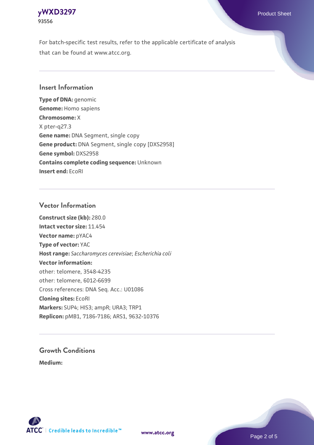

For batch-specific test results, refer to the applicable certificate of analysis that can be found at www.atcc.org.

#### **Insert Information**

**Type of DNA:** genomic **Genome:** Homo sapiens **Chromosome:** X X pter-q27.3 **Gene name:** DNA Segment, single copy **Gene product:** DNA Segment, single copy [DXS2958] **Gene symbol:** DXS2958 **Contains complete coding sequence:** Unknown **Insert end:** EcoRI

#### **Vector Information**

**Construct size (kb):** 280.0 **Intact vector size:** 11.454 **Vector name:** pYAC4 **Type of vector:** YAC **Host range:** *Saccharomyces cerevisiae*; *Escherichia coli* **Vector information:** other: telomere, 3548-4235 other: telomere, 6012-6699 Cross references: DNA Seq. Acc.: U01086 **Cloning sites:** EcoRI **Markers:** SUP4; HIS3; ampR; URA3; TRP1 **Replicon:** pMB1, 7186-7186; ARS1, 9632-10376

# **Growth Conditions**

**Medium:** 





Page 2 of 5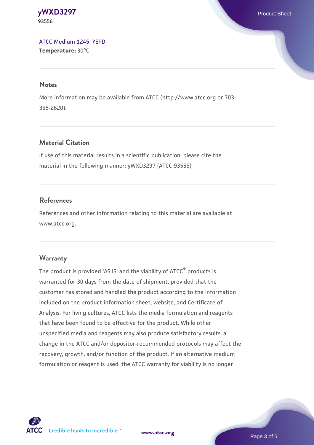**[yWXD3297](https://www.atcc.org/products/93556)** Product Sheet **93556**

[ATCC Medium 1245: YEPD](https://www.atcc.org/-/media/product-assets/documents/microbial-media-formulations/1/2/4/5/atcc-medium-1245.pdf?rev=705ca55d1b6f490a808a965d5c072196) **Temperature:** 30°C

#### **Notes**

More information may be available from ATCC (http://www.atcc.org or 703- 365-2620).

## **Material Citation**

If use of this material results in a scientific publication, please cite the material in the following manner: yWXD3297 (ATCC 93556)

#### **References**

References and other information relating to this material are available at www.atcc.org.

#### **Warranty**

The product is provided 'AS IS' and the viability of ATCC® products is warranted for 30 days from the date of shipment, provided that the customer has stored and handled the product according to the information included on the product information sheet, website, and Certificate of Analysis. For living cultures, ATCC lists the media formulation and reagents that have been found to be effective for the product. While other unspecified media and reagents may also produce satisfactory results, a change in the ATCC and/or depositor-recommended protocols may affect the recovery, growth, and/or function of the product. If an alternative medium formulation or reagent is used, the ATCC warranty for viability is no longer



**[www.atcc.org](http://www.atcc.org)**

Page 3 of 5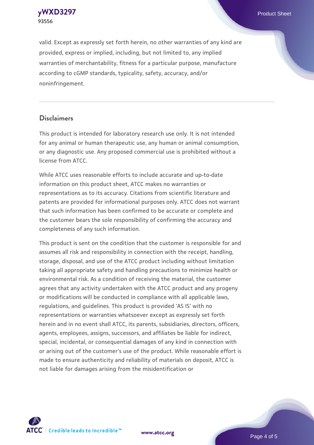**[yWXD3297](https://www.atcc.org/products/93556)** Product Sheet **93556**

valid. Except as expressly set forth herein, no other warranties of any kind are provided, express or implied, including, but not limited to, any implied warranties of merchantability, fitness for a particular purpose, manufacture according to cGMP standards, typicality, safety, accuracy, and/or noninfringement.

#### **Disclaimers**

This product is intended for laboratory research use only. It is not intended for any animal or human therapeutic use, any human or animal consumption, or any diagnostic use. Any proposed commercial use is prohibited without a license from ATCC.

While ATCC uses reasonable efforts to include accurate and up-to-date information on this product sheet, ATCC makes no warranties or representations as to its accuracy. Citations from scientific literature and patents are provided for informational purposes only. ATCC does not warrant that such information has been confirmed to be accurate or complete and the customer bears the sole responsibility of confirming the accuracy and completeness of any such information.

This product is sent on the condition that the customer is responsible for and assumes all risk and responsibility in connection with the receipt, handling, storage, disposal, and use of the ATCC product including without limitation taking all appropriate safety and handling precautions to minimize health or environmental risk. As a condition of receiving the material, the customer agrees that any activity undertaken with the ATCC product and any progeny or modifications will be conducted in compliance with all applicable laws, regulations, and guidelines. This product is provided 'AS IS' with no representations or warranties whatsoever except as expressly set forth herein and in no event shall ATCC, its parents, subsidiaries, directors, officers, agents, employees, assigns, successors, and affiliates be liable for indirect, special, incidental, or consequential damages of any kind in connection with or arising out of the customer's use of the product. While reasonable effort is made to ensure authenticity and reliability of materials on deposit, ATCC is not liable for damages arising from the misidentification or



**[www.atcc.org](http://www.atcc.org)**

Page 4 of 5